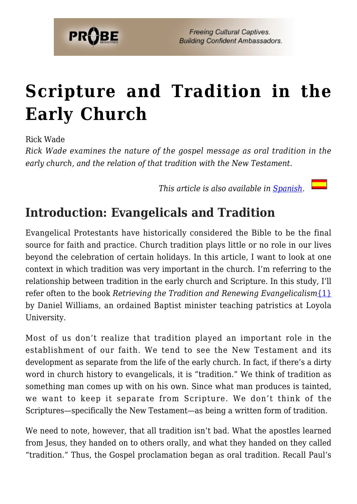

# **[Scripture and Tradition in the](https://probe.org/scripture-and-tradition-in-the-early-church/) [Early Church](https://probe.org/scripture-and-tradition-in-the-early-church/)**

Rick Wade

*Rick Wade examines the nature of the gospel message as oral tradition in the early church, and the relation of that tradition with the New Testament.*

*This article is also available in [Spanish.](http://www.ministeriosprobe.org/docs/escituras.html)* 

## **Introduction: Evangelicals and Tradition**

Evangelical Protestants have historically considered the Bible to be the final source for faith and practice. Church tradition plays little or no role in our lives beyond the celebration of certain holidays. In this article, I want to look at one context in which tradition was very important in the church. I'm referring to the relationship between tradition in the early church and Scripture. In this study, I'll refer often to the book *Retrieving the Tradition and Renewing Evangelicalism*[{1}](#page-15-0) by Daniel Williams, an ordained Baptist minister teaching patristics at Loyola University.

Most of us don't realize that tradition played an important role in the establishment of our faith. We tend to see the New Testament and its development as separate from the life of the early church. In fact, if there's a dirty word in church history to evangelicals, it is "tradition." We think of tradition as something man comes up with on his own. Since what man produces is tainted, we want to keep it separate from Scripture. We don't think of the Scriptures—specifically the New Testament—as being a written form of tradition.

We need to note, however, that all tradition isn't bad. What the apostles learned from Jesus, they handed on to others orally, and what they handed on they called "tradition." Thus, the Gospel proclamation began as oral tradition. Recall Paul's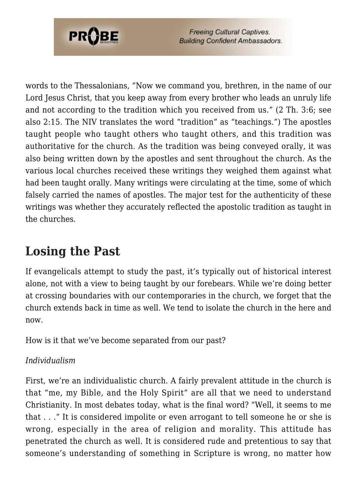

words to the Thessalonians, "Now we command you, brethren, in the name of our Lord Jesus Christ, that you keep away from every brother who leads an unruly life and not according to the tradition which you received from us." (2 Th. 3:6; see also 2:15. The NIV translates the word "tradition" as "teachings.") The apostles taught people who taught others who taught others, and this tradition was authoritative for the church. As the tradition was being conveyed orally, it was also being written down by the apostles and sent throughout the church. As the various local churches received these writings they weighed them against what had been taught orally. Many writings were circulating at the time, some of which falsely carried the names of apostles. The major test for the authenticity of these writings was whether they accurately reflected the apostolic tradition as taught in the churches.

# **Losing the Past**

If evangelicals attempt to study the past, it's typically out of historical interest alone, not with a view to being taught by our forebears. While we're doing better at crossing boundaries with our contemporaries in the church, we forget that the church extends back in time as well. We tend to isolate the church in the here and now.

How is it that we've become separated from our past?

### *Individualism*

First, we're an individualistic church. A fairly prevalent attitude in the church is that "me, my Bible, and the Holy Spirit" are all that we need to understand Christianity. In most debates today, what is the final word? "Well, it seems to me that . . ." It is considered impolite or even arrogant to tell someone he or she is wrong, especially in the area of religion and morality. This attitude has penetrated the church as well. It is considered rude and pretentious to say that someone's understanding of something in Scripture is wrong, no matter how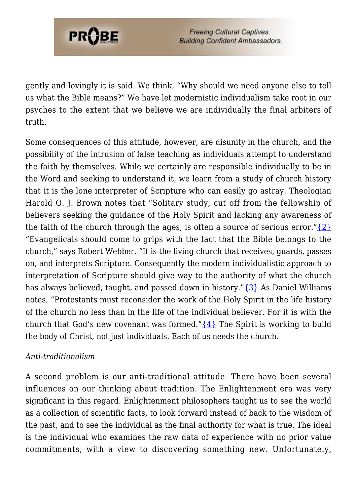gently and lovingly it is said. We think, "Why should we need anyone else to tell us what the Bible means?" We have let modernistic individualism take root in our psyches to the extent that we believe we are individually the final arbiters of truth.

Some consequences of this attitude, however, are disunity in the church, and the possibility of the intrusion of false teaching as individuals attempt to understand the faith by themselves. While we certainly are responsible individually to be in the Word and seeking to understand it, we learn from a study of church history that it is the lone interpreter of Scripture who can easily go astray. Theologian Harold O. J. Brown notes that "Solitary study, cut off from the fellowship of believers seeking the guidance of the Holy Spirit and lacking any awareness of the faith of the church through the ages, is often a source of serious error." $\{2\}$ "Evangelicals should come to grips with the fact that the Bible belongs to the church," says Robert Webber. "It is the living church that receives, guards, passes on, and interprets Scripture. Consequently the modern individualistic approach to interpretation of Scripture should give way to the authority of what the church has always believed, taught, and passed down in history." $\{3\}$  As Daniel Williams notes, "Protestants must reconsider the work of the Holy Spirit in the life history of the church no less than in the life of the individual believer. For it is with the church that God's new covenant was formed." $\{4\}$  The Spirit is working to build the body of Christ, not just individuals. Each of us needs the church.

#### *Anti-traditionalism*

**PROBE** 

A second problem is our anti-traditional attitude. There have been several influences on our thinking about tradition. The Enlightenment era was very significant in this regard. Enlightenment philosophers taught us to see the world as a collection of scientific facts, to look forward instead of back to the wisdom of the past, and to see the individual as the final authority for what is true. The ideal is the individual who examines the raw data of experience with no prior value commitments, with a view to discovering something new. Unfortunately,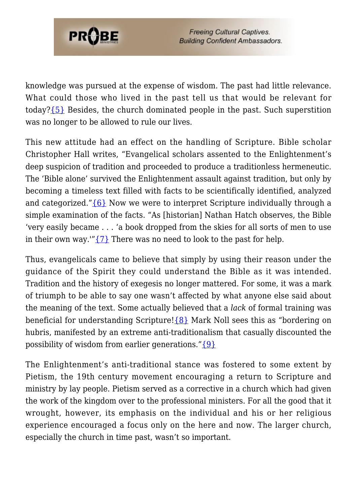

knowledge was pursued at the expense of wisdom. The past had little relevance. What could those who lived in the past tell us that would be relevant for today[?{5}](#page-15-4) Besides, the church dominated people in the past. Such superstition was no longer to be allowed to rule our lives.

This new attitude had an effect on the handling of Scripture. Bible scholar Christopher Hall writes, "Evangelical scholars assented to the Enlightenment's deep suspicion of tradition and proceeded to produce a traditionless hermeneutic. The 'Bible alone' survived the Enlightenment assault against tradition, but only by becoming a timeless text filled with facts to be scientifically identified, analyzed and categorized." ${6}$  Now we were to interpret Scripture individually through a simple examination of the facts. "As [historian] Nathan Hatch observes, the Bible 'very easily became . . . 'a book dropped from the skies for all sorts of men to use in their own way.'" $\{7\}$  There was no need to look to the past for help.

Thus, evangelicals came to believe that simply by using their reason under the guidance of the Spirit they could understand the Bible as it was intended. Tradition and the history of exegesis no longer mattered. For some, it was a mark of triumph to be able to say one wasn't affected by what anyone else said about the meaning of the text. Some actually believed that a *lack* of formal training was beneficial for understanding Scripture! $\{8\}$  Mark Noll sees this as "bordering on hubris, manifested by an extreme anti-traditionalism that casually discounted the possibility of wisdom from earlier generations." ${9}$ 

The Enlightenment's anti-traditional stance was fostered to some extent by Pietism, the 19th century movement encouraging a return to Scripture and ministry by lay people. Pietism served as a corrective in a church which had given the work of the kingdom over to the professional ministers. For all the good that it wrought, however, its emphasis on the individual and his or her religious experience encouraged a focus only on the here and now. The larger church, especially the church in time past, wasn't so important.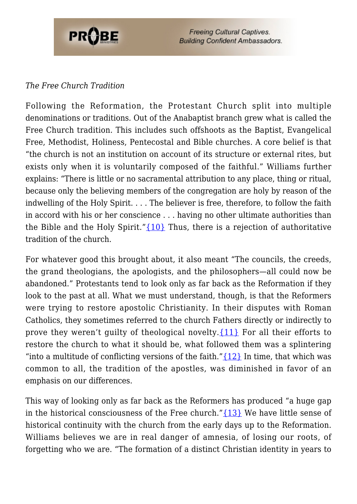

### *The Free Church Tradition*

Following the Reformation, the Protestant Church split into multiple denominations or traditions. Out of the Anabaptist branch grew what is called the Free Church tradition. This includes such offshoots as the Baptist, Evangelical Free, Methodist, Holiness, Pentecostal and Bible churches. A core belief is that "the church is not an institution on account of its structure or external rites, but exists only when it is voluntarily composed of the faithful." Williams further explains: "There is little or no sacramental attribution to any place, thing or ritual, because only the believing members of the congregation are holy by reason of the indwelling of the Holy Spirit. . . . The believer is free, therefore, to follow the faith in accord with his or her conscience . . . having no other ultimate authorities than the Bible and the Holy Spirit." $\{10\}$  Thus, there is a rejection of authoritative tradition of the church.

For whatever good this brought about, it also meant "The councils, the creeds, the grand theologians, the apologists, and the philosophers—all could now be abandoned." Protestants tend to look only as far back as the Reformation if they look to the past at all. What we must understand, though, is that the Reformers were trying to restore apostolic Christianity. In their disputes with Roman Catholics, they sometimes referred to the church Fathers directly or indirectly to prove they weren't quilty of theological novelty.  $\{11\}$  For all their efforts to restore the church to what it should be, what followed them was a splintering "into a multitude of conflicting versions of the faith." $\{12\}$  In time, that which was common to all, the tradition of the apostles, was diminished in favor of an emphasis on our differences.

This way of looking only as far back as the Reformers has produced "a huge gap in the historical consciousness of the Free church."[{13}](#page-16-1) We have little sense of historical continuity with the church from the early days up to the Reformation. Williams believes we are in real danger of amnesia, of losing our roots, of forgetting who we are. "The formation of a distinct Christian identity in years to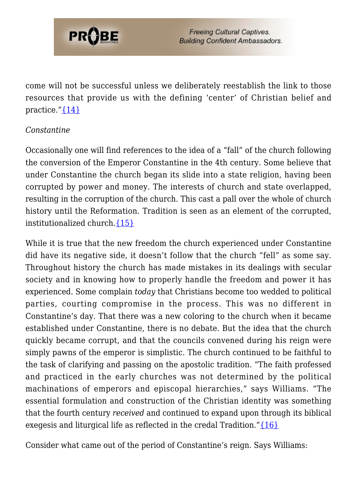

come will not be successful unless we deliberately reestablish the link to those resources that provide us with the defining 'center' of Christian belief and practice."[{14}](#page-16-2)

#### *Constantine*

Occasionally one will find references to the idea of a "fall" of the church following the conversion of the Emperor Constantine in the 4th century. Some believe that under Constantine the church began its slide into a state religion, having been corrupted by power and money. The interests of church and state overlapped, resulting in the corruption of the church. This cast a pall over the whole of church history until the Reformation. Tradition is seen as an element of the corrupted, institutionalized church.[{15}](#page-16-3)

While it is true that the new freedom the church experienced under Constantine did have its negative side, it doesn't follow that the church "fell" as some say. Throughout history the church has made mistakes in its dealings with secular society and in knowing how to properly handle the freedom and power it has experienced. Some complain *today* that Christians become too wedded to political parties, courting compromise in the process. This was no different in Constantine's day. That there was a new coloring to the church when it became established under Constantine, there is no debate. But the idea that the church quickly became corrupt, and that the councils convened during his reign were simply pawns of the emperor is simplistic. The church continued to be faithful to the task of clarifying and passing on the apostolic tradition. "The faith professed and practiced in the early churches was not determined by the political machinations of emperors and episcopal hierarchies," says Williams. "The essential formulation and construction of the Christian identity was something that the fourth century *received* and continued to expand upon through its biblical exegesis and liturgical life as reflected in the credal Tradition." $\{16\}$ 

Consider what came out of the period of Constantine's reign. Says Williams: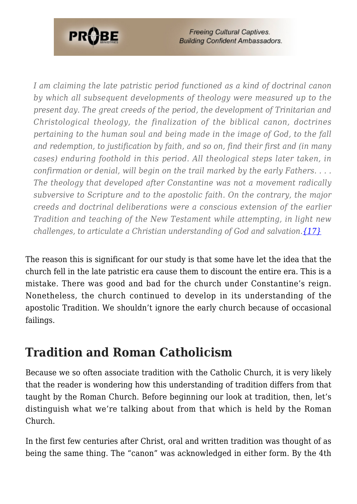

*I am claiming the late patristic period functioned as a kind of doctrinal canon by which all subsequent developments of theology were measured up to the present day. The great creeds of the period, the development of Trinitarian and Christological theology, the finalization of the biblical canon, doctrines pertaining to the human soul and being made in the image of God, to the fall and redemption, to justification by faith, and so on, find their first and (in many cases) enduring foothold in this period. All theological steps later taken, in confirmation or denial, will begin on the trail marked by the early Fathers. . . . The theology that developed after Constantine was not a movement radically subversive to Scripture and to the apostolic faith. On the contrary, the major creeds and doctrinal deliberations were a conscious extension of the earlier Tradition and teaching of the New Testament while attempting, in light new challenges, to articulate a Christian understanding of God and salvation.[{17}](#page-16-5)*

The reason this is significant for our study is that some have let the idea that the church fell in the late patristic era cause them to discount the entire era. This is a mistake. There was good and bad for the church under Constantine's reign. Nonetheless, the church continued to develop in its understanding of the apostolic Tradition. We shouldn't ignore the early church because of occasional failings.

### **Tradition and Roman Catholicism**

Because we so often associate tradition with the Catholic Church, it is very likely that the reader is wondering how this understanding of tradition differs from that taught by the Roman Church. Before beginning our look at tradition, then, let's distinguish what we're talking about from that which is held by the Roman Church.

In the first few centuries after Christ, oral and written tradition was thought of as being the same thing. The "canon" was acknowledged in either form. By the 4th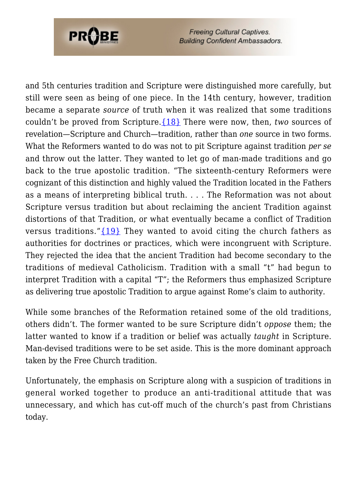

and 5th centuries tradition and Scripture were distinguished more carefully, but still were seen as being of one piece. In the 14th century, however, tradition became a separate *source* of truth when it was realized that some traditions couldn't be proved from Scripture[.{18}](#page-16-6) There were now, then, *two* sources of revelation—Scripture and Church—tradition, rather than *one* source in two forms. What the Reformers wanted to do was not to pit Scripture against tradition *per se* and throw out the latter. They wanted to let go of man-made traditions and go back to the true apostolic tradition. "The sixteenth-century Reformers were cognizant of this distinction and highly valued the Tradition located in the Fathers as a means of interpreting biblical truth. . . . The Reformation was not about Scripture versus tradition but about reclaiming the ancient Tradition against distortions of that Tradition, or what eventually became a conflict of Tradition versus traditions." $\{19\}$  They wanted to avoid citing the church fathers as authorities for doctrines or practices, which were incongruent with Scripture. They rejected the idea that the ancient Tradition had become secondary to the traditions of medieval Catholicism. Tradition with a small "t" had begun to interpret Tradition with a capital "T"; the Reformers thus emphasized Scripture as delivering true apostolic Tradition to argue against Rome's claim to authority.

While some branches of the Reformation retained some of the old traditions, others didn't. The former wanted to be sure Scripture didn't *oppose* them; the latter wanted to know if a tradition or belief was actually *taught* in Scripture. Man-devised traditions were to be set aside. This is the more dominant approach taken by the Free Church tradition.

Unfortunately, the emphasis on Scripture along with a suspicion of traditions in general worked together to produce an anti-traditional attitude that was unnecessary, and which has cut-off much of the church's past from Christians today.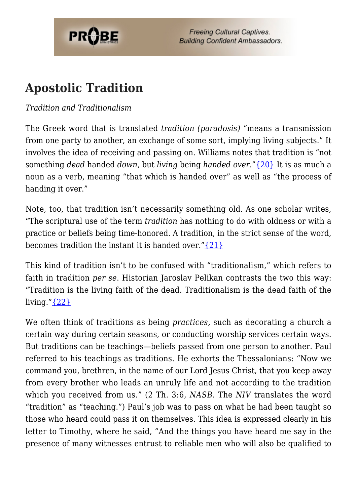

### **Apostolic Tradition**

### *Tradition and Traditionalism*

The Greek word that is translated *tradition (paradosis)* "means a transmission from one party to another, an exchange of some sort, implying living subjects." It involves the idea of receiving and passing on. Williams notes that tradition is "not something *dead* handed *down,* but *living* being *handed over*."[{20}](#page-16-8) It is as much a noun as a verb, meaning "that which is handed over" as well as "the process of handing it over."

Note, too, that tradition isn't necessarily something old. As one scholar writes, "The scriptural use of the term *tradition* has nothing to do with oldness or with a practice or beliefs being time-honored. A tradition, in the strict sense of the word, becomes tradition the instant it is handed over.["{21}](#page-16-9)

This kind of tradition isn't to be confused with "traditionalism," which refers to faith in tradition *per se*. Historian Jaroslav Pelikan contrasts the two this way: "Tradition is the living faith of the dead. Traditionalism is the dead faith of the living." ${22}$ 

We often think of traditions as being *practices,* such as decorating a church a certain way during certain seasons, or conducting worship services certain ways. But traditions can be teachings—beliefs passed from one person to another. Paul referred to his teachings as traditions. He exhorts the Thessalonians: "Now we command you, brethren, in the name of our Lord Jesus Christ, that you keep away from every brother who leads an unruly life and not according to the tradition which you received from us." (2 Th. 3:6, *NASB*. The *NIV* translates the word "tradition" as "teaching.") Paul's job was to pass on what he had been taught so those who heard could pass it on themselves. This idea is expressed clearly in his letter to Timothy, where he said, "And the things you have heard me say in the presence of many witnesses entrust to reliable men who will also be qualified to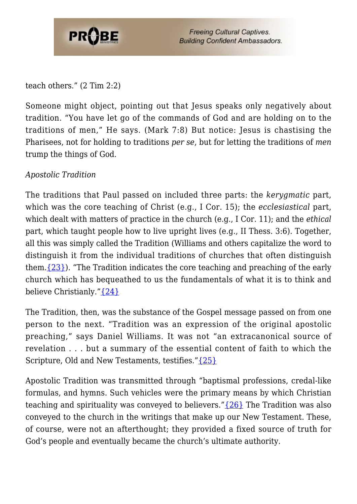

teach others." (2 Tim 2:2)

Someone might object, pointing out that Jesus speaks only negatively about tradition. "You have let go of the commands of God and are holding on to the traditions of men," He says. (Mark 7:8) But notice: Jesus is chastising the Pharisees, not for holding to traditions *per se*, but for letting the traditions of *men* trump the things of God.

#### *Apostolic Tradition*

The traditions that Paul passed on included three parts: the *kerygmatic* part, which was the core teaching of Christ (e.g., I Cor. 15); the *ecclesiastical* part, which dealt with matters of practice in the church (e.g., I Cor. 11); and the *ethical* part, which taught people how to live upright lives (e.g., II Thess. 3:6). Together, all this was simply called the Tradition (Williams and others capitalize the word to distinguish it from the individual traditions of churches that often distinguish them.[{23}\)](#page-16-11). "The Tradition indicates the core teaching and preaching of the early church which has bequeathed to us the fundamentals of what it is to think and believe Christianly.["{24}](#page-16-12)

The Tradition, then, was the substance of the Gospel message passed on from one person to the next. "Tradition was an expression of the original apostolic preaching," says Daniel Williams. It was not "an extracanonical source of revelation . . . but a summary of the essential content of faith to which the Scripture, Old and New Testaments, testifies." [{25}](#page-16-13)

Apostolic Tradition was transmitted through "baptismal professions, credal-like formulas, and hymns. Such vehicles were the primary means by which Christian teaching and spirituality was conveyed to believers." $\{26\}$  The Tradition was also conveyed to the church in the writings that make up our New Testament. These, of course, were not an afterthought; they provided a fixed source of truth for God's people and eventually became the church's ultimate authority.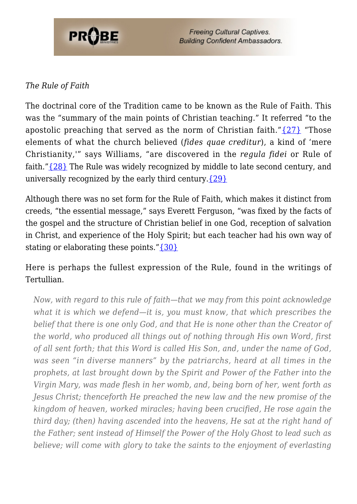

### *The Rule of Faith*

The doctrinal core of the Tradition came to be known as the Rule of Faith. This was the "summary of the main points of Christian teaching." It referred "to the apostolic preaching that served as the norm of Christian faith."[{27}](#page-16-15) "Those elements of what the church believed (*fides quae creditur*), a kind of 'mere Christianity,'" says Williams, "are discovered in the *regula fidei* or Rule of faith.["{28}](#page-16-16) The Rule was widely recognized by middle to late second century, and universally recognized by the early third century. $\{29\}$ 

Although there was no set form for the Rule of Faith, which makes it distinct from creeds, "the essential message," says Everett Ferguson, "was fixed by the facts of the gospel and the structure of Christian belief in one God, reception of salvation in Christ, and experience of the Holy Spirit; but each teacher had his own way of stating or elaborating these points."[{30}](#page-16-18)

Here is perhaps the fullest expression of the Rule, found in the writings of Tertullian.

*Now, with regard to this rule of faith—that we may from this point acknowledge what it is which we defend—it is, you must know, that which prescribes the belief that there is one only God, and that He is none other than the Creator of the world, who produced all things out of nothing through His own Word, first of all sent forth; that this Word is called His Son, and, under the name of God, was seen "in diverse manners" by the patriarchs, heard at all times in the prophets, at last brought down by the Spirit and Power of the Father into the Virgin Mary, was made flesh in her womb, and, being born of her, went forth as Jesus Christ; thenceforth He preached the new law and the new promise of the kingdom of heaven, worked miracles; having been crucified, He rose again the third day; (then) having ascended into the heavens, He sat at the right hand of the Father; sent instead of Himself the Power of the Holy Ghost to lead such as believe; will come with glory to take the saints to the enjoyment of everlasting*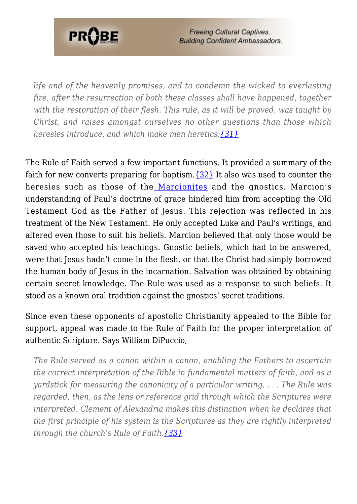

*life and of the heavenly promises, and to condemn the wicked to everlasting fire, after the resurrection of both these classes shall have happened, together with the restoration of their flesh. This rule, as it will be proved, was taught by Christ, and raises amongst ourselves no other questions than those which heresies introduce, and which make men heretics.[{31}](#page-16-19)*

The Rule of Faith served a few important functions. It provided a summary of the faith for new converts preparing for baptism. $\{32\}$  It also was used to counter the heresies such as those of the [Marcionites](https://probe.org/are-you-a-marcion-martian-christian/) and the gnostics. Marcion's understanding of Paul's doctrine of grace hindered him from accepting the Old Testament God as the Father of Jesus. This rejection was reflected in his treatment of the New Testament. He only accepted Luke and Paul's writings, and altered even those to suit his beliefs. Marcion believed that only those would be saved who accepted his teachings. Gnostic beliefs, which had to be answered, were that Jesus hadn't come in the flesh, or that the Christ had simply borrowed the human body of Jesus in the incarnation. Salvation was obtained by obtaining certain secret knowledge. The Rule was used as a response to such beliefs. It stood as a known oral tradition against the gnostics' secret traditions.

Since even these opponents of apostolic Christianity appealed to the Bible for support, appeal was made to the Rule of Faith for the proper interpretation of authentic Scripture. Says William DiPuccio,

*The Rule served as a canon within a canon, enabling the Fathers to ascertain the correct interpretation of the Bible in fundamental matters of faith, and as a yardstick for measuring the canonicity of a particular writing. . . . The Rule was regarded, then, as the lens or reference grid through which the Scriptures were interpreted. Clement of Alexandria makes this distinction when he declares that the first principle of his system is the Scriptures as they are rightly interpreted through the church's Rule of Faith[.{33}](#page-17-1)*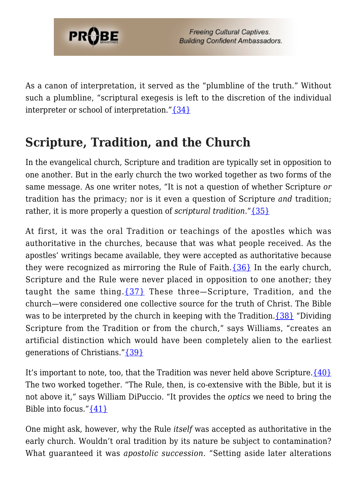

As a canon of interpretation, it served as the "plumbline of the truth." Without such a plumbline, "scriptural exegesis is left to the discretion of the individual interpreter or school of interpretation."[{34}](#page-17-2)

### **Scripture, Tradition, and the Church**

In the evangelical church, Scripture and tradition are typically set in opposition to one another. But in the early church the two worked together as two forms of the same message. As one writer notes, "It is not a question of whether Scripture *or* tradition has the primacy; nor is it even a question of Scripture *and* tradition; rather, it is more properly a question of *scriptural tradition*."[{35}](#page-17-3)

At first, it was the oral Tradition or teachings of the apostles which was authoritative in the churches, because that was what people received. As the apostles' writings became available, they were accepted as authoritative because they were recognized as mirroring the Rule of Faith. $\{36\}$  In the early church, Scripture and the Rule were never placed in opposition to one another; they taught the same thing.[{37}](#page-17-5) These three—Scripture, Tradition, and the church—were considered one collective source for the truth of Christ. The Bible was to be interpreted by the church in keeping with the Tradition.[{38}](#page-17-6) "Dividing Scripture from the Tradition or from the church," says Williams, "creates an artificial distinction which would have been completely alien to the earliest generations of Christians.["{39}](#page-17-7)

It's important to note, too, that the Tradition was never held above Scripture.  $\{40\}$ The two worked together. "The Rule, then, is co-extensive with the Bible, but it is not above it," says William DiPuccio. "It provides the *optics* we need to bring the Bible into focus." $\{41\}$ 

One might ask, however, why the Rule *itself* was accepted as authoritative in the early church. Wouldn't oral tradition by its nature be subject to contamination? What guaranteed it was *apostolic succession*. "Setting aside later alterations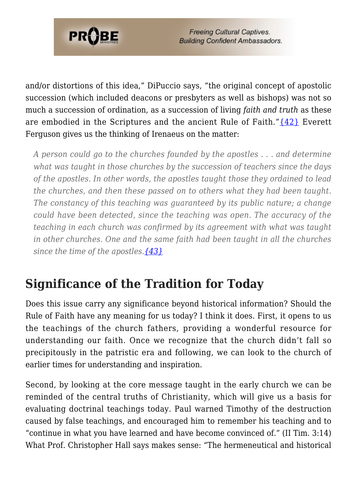

and/or distortions of this idea," DiPuccio says, "the original concept of apostolic succession (which included deacons or presbyters as well as bishops) was not so much a succession of ordination, as a succession of living *faith and truth* as these are embodied in the Scriptures and the ancient Rule of Faith."[{42}](#page-17-10) Everett Ferguson gives us the thinking of Irenaeus on the matter:

*A person could go to the churches founded by the apostles . . . and determine what was taught in those churches by the succession of teachers since the days of the apostles. In other words, the apostles taught those they ordained to lead the churches, and then these passed on to others what they had been taught. The constancy of this teaching was guaranteed by its public nature; a change could have been detected, since the teaching was open. The accuracy of the teaching in each church was confirmed by its agreement with what was taught in other churches. One and the same faith had been taught in all the churches since the time of the apostles.[{43}](#page-17-11)*

### **Significance of the Tradition for Today**

Does this issue carry any significance beyond historical information? Should the Rule of Faith have any meaning for us today? I think it does. First, it opens to us the teachings of the church fathers, providing a wonderful resource for understanding our faith. Once we recognize that the church didn't fall so precipitously in the patristic era and following, we can look to the church of earlier times for understanding and inspiration.

Second, by looking at the core message taught in the early church we can be reminded of the central truths of Christianity, which will give us a basis for evaluating doctrinal teachings today. Paul warned Timothy of the destruction caused by false teachings, and encouraged him to remember his teaching and to "continue in what you have learned and have become convinced of." (II Tim. 3:14) What Prof. Christopher Hall says makes sense: "The hermeneutical and historical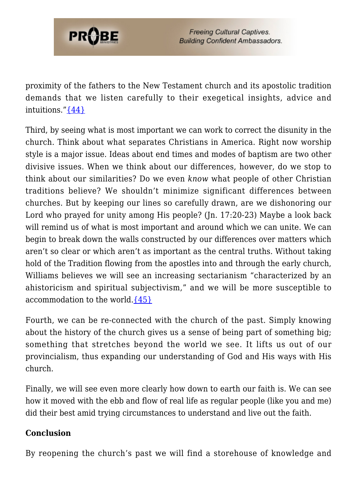

proximity of the fathers to the New Testament church and its apostolic tradition demands that we listen carefully to their exegetical insights, advice and intuitions.["{44}](#page-17-12)

Third, by seeing what is most important we can work to correct the disunity in the church. Think about what separates Christians in America. Right now worship style is a major issue. Ideas about end times and modes of baptism are two other divisive issues. When we think about our differences, however, do we stop to think about our similarities? Do we even *know* what people of other Christian traditions believe? We shouldn't minimize significant differences between churches. But by keeping our lines so carefully drawn, are we dishonoring our Lord who prayed for unity among His people? (Jn. 17:20-23) Maybe a look back will remind us of what is most important and around which we can unite. We can begin to break down the walls constructed by our differences over matters which aren't so clear or which aren't as important as the central truths. Without taking hold of the Tradition flowing from the apostles into and through the early church, Williams believes we will see an increasing sectarianism "characterized by an ahistoricism and spiritual subjectivism," and we will be more susceptible to accommodation to the world. $\{45\}$ 

Fourth, we can be re-connected with the church of the past. Simply knowing about the history of the church gives us a sense of being part of something big; something that stretches beyond the world we see. It lifts us out of our provincialism, thus expanding our understanding of God and His ways with His church.

Finally, we will see even more clearly how down to earth our faith is. We can see how it moved with the ebb and flow of real life as regular people (like you and me) did their best amid trying circumstances to understand and live out the faith.

#### **Conclusion**

By reopening the church's past we will find a storehouse of knowledge and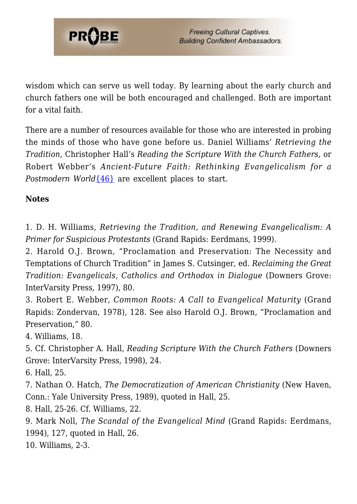

wisdom which can serve us well today. By learning about the early church and church fathers one will be both encouraged and challenged. Both are important for a vital faith.

There are a number of resources available for those who are interested in probing the minds of those who have gone before us. Daniel Williams' *Retrieving the Tradition,* Christopher Hall's *Reading the Scripture With the Church Fathers*, or Robert Webber's *Ancient-Future Faith: Rethinking Evangelicalism for a Postmodern World* [{46}](#page-17-14) are excellent places to start.

**Notes**

<span id="page-15-0"></span>1. D. H. Williams, *Retrieving the Tradition, and Renewing Evangelicalism: A Primer for Suspicious Protestants* (Grand Rapids: Eerdmans, 1999).

<span id="page-15-1"></span>2. Harold O.J. Brown, "Proclamation and Preservation: The Necessity and Temptations of Church Tradition" in James S. Cutsinger, ed. *Reclaiming the Great Tradition: Evangelicals, Catholics and Orthodox in Dialogue* (Downers Grove: InterVarsity Press, 1997), 80.

<span id="page-15-2"></span>3. Robert E. Webber, *Common Roots: A Call to Evangelical Maturity* (Grand Rapids: Zondervan, 1978), 128. See also Harold O.J. Brown, "Proclamation and Preservation," 80.

<span id="page-15-3"></span>4. Williams, 18.

<span id="page-15-4"></span>5. Cf. Christopher A. Hall, *Reading Scripture With the Church Fathers* (Downers Grove: InterVarsity Press, 1998), 24.

<span id="page-15-5"></span>6. Hall, 25.

<span id="page-15-6"></span>7. Nathan O. Hatch, *The Democratization of American Christianity* (New Haven, Conn.: Yale University Press, 1989), quoted in Hall, 25.

<span id="page-15-7"></span>8. Hall, 25-26. Cf. Williams, 22.

<span id="page-15-8"></span>9. Mark Noll, *The Scandal of the Evangelical Mind* (Grand Rapids: Eerdmans, 1994), 127, quoted in Hall, 26.

<span id="page-15-10"></span><span id="page-15-9"></span>10. Williams, 2-3.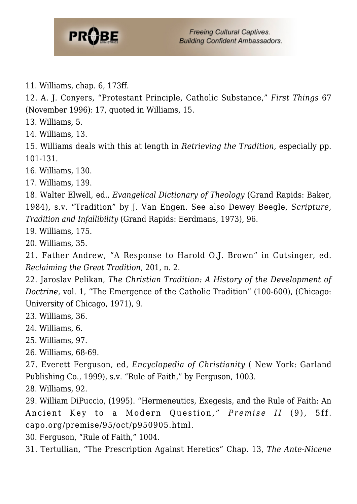

11. Williams, chap. 6, 173ff.

<span id="page-16-0"></span>12. A. J. Conyers, "Protestant Principle, Catholic Substance," *First Things* 67 (November 1996): 17, quoted in Williams, 15.

<span id="page-16-1"></span>13. Williams, 5.

<span id="page-16-2"></span>14. Williams, 13.

<span id="page-16-3"></span>15. Williams deals with this at length in *Retrieving the Tradition*, especially pp. 101-131.

<span id="page-16-4"></span>16. Williams, 130.

<span id="page-16-5"></span>17. Williams, 139.

<span id="page-16-6"></span>18. Walter Elwell, ed., *Evangelical Dictionary of Theology* (Grand Rapids: Baker, 1984), s.v. "Tradition" by J. Van Engen. See also Dewey Beegle, *Scripture, Tradition and Infallibility* (Grand Rapids: Eerdmans, 1973), 96.

<span id="page-16-7"></span>19. Williams, 175.

<span id="page-16-8"></span>20. Williams, 35.

<span id="page-16-9"></span>21. Father Andrew, "A Response to Harold O.J. Brown" in Cutsinger, ed. *Reclaiming the Great Tradition*, 201, n. 2.

<span id="page-16-10"></span>22. Jaroslav Pelikan, *The Christian Tradition: A History of the Development of Doctrine*, vol. 1, "The Emergence of the Catholic Tradition" (100-600), (Chicago: University of Chicago, 1971), 9.

<span id="page-16-11"></span>23. Williams, 36.

- <span id="page-16-12"></span>24. Williams, 6.
- <span id="page-16-13"></span>25. Williams, 97.
- <span id="page-16-14"></span>26. Williams, 68-69.

<span id="page-16-15"></span>27. Everett Ferguson, ed, *Encyclopedia of Christianity* ( New York: Garland Publishing Co., 1999), s.v. "Rule of Faith," by Ferguson, 1003.

<span id="page-16-16"></span>28. Williams, 92.

<span id="page-16-17"></span>29. William DiPuccio, (1995). "Hermeneutics, Exegesis, and the Rule of Faith: An Ancient Key to a Modern Question," *Premise II* (9), 5ff. capo.org/premise/95/oct/p950905.html.

<span id="page-16-18"></span>30. Ferguson, "Rule of Faith," 1004.

<span id="page-16-19"></span>31. Tertullian, "The Prescription Against Heretics" Chap. 13, *The Ante-Nicene*